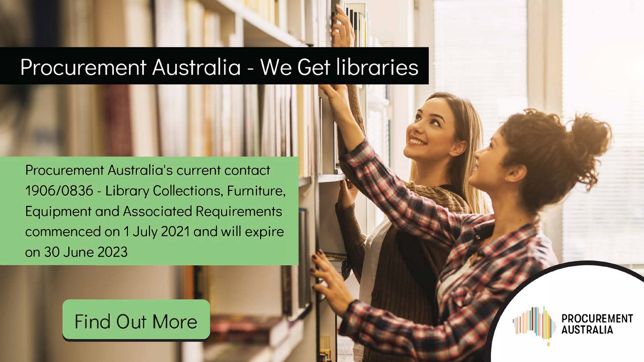Procurement Australia's current contact 1906/0836 - Library Collections, Furniture, Equipment and Associated Requirements commenced on 1 July 2021 and will expire on 30 June 2023

# [Find Out More](https://www.paltd.com.au/hubfs/ProcurementAustralia_January2022/pdf/Contracts/23060843-%E2%80%93-Library-Collections-Furniture-Equipment-Associated-Requirements-Member-Flyer.pdf)

# Procurement Australia - We Get libraries

...

 $\mathbb{M}$ 

I I

#### I I **PROCUREMENT AUSTRALIA**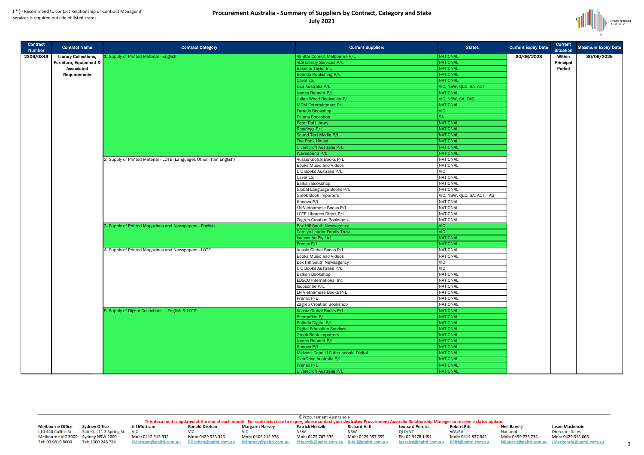#### ( \* ) - Recommend to contact Relationship or Contract Manager if services is required outside of listed states

#### **Procurement Australia - Summary of Suppliers by Contract, Category and State July 2021**





| Contract<br><b>Number</b> | <b>Contract Name</b>        | <b>Contract Category</b>                                                                                  | <b>Current Suppliers</b>            | <b>States</b>               | <b>Current Expiry Date</b> | <b>Current</b><br><b>Situation</b> | Maximum Expiry Date |
|---------------------------|-----------------------------|-----------------------------------------------------------------------------------------------------------|-------------------------------------|-----------------------------|----------------------------|------------------------------------|---------------------|
| 2306/0843                 | <b>Library Collections,</b> | 1. Supply of Printed Material - English                                                                   | All Star Comics Melbourne P/L       | <b>NATIONAL</b>             | 30/06/2023                 | Within                             | 30/06/2025          |
|                           | Furniture, Equipment &      |                                                                                                           | <b>ALS Library Services P/L</b>     | NATIONAL                    |                            | Principal                          |                     |
|                           | Associated                  |                                                                                                           | <b>Baker &amp; Taylor Inc</b>       | NATIONAL                    |                            | Period                             |                     |
|                           | Requirements                |                                                                                                           | <b>Bolinda Publishing P/L</b>       | NATIONAL                    |                            |                                    |                     |
|                           |                             |                                                                                                           | Caval Ltd                           | NATIONAL                    |                            |                                    |                     |
|                           |                             |                                                                                                           | <b>DLS Australia P/L</b>            | VIC, NSW, QLD, SA, ACT      |                            |                                    |                     |
|                           |                             |                                                                                                           | James Bennett P/L                   | NATIONAL                    |                            |                                    |                     |
|                           |                             |                                                                                                           | Julian Wood Bookseller P/L          | VIC, NSW, SA, TAS           |                            |                                    |                     |
|                           |                             |                                                                                                           | <b>MDM Entertainment P/L</b>        | NATIONAL                    |                            |                                    |                     |
|                           |                             |                                                                                                           | <b>Farrells Bookshop</b>            | VIC                         |                            |                                    |                     |
|                           |                             |                                                                                                           | <b>Dillons Bookshop</b>             |                             |                            |                                    |                     |
|                           |                             |                                                                                                           | Peter Pal Library                   | NATIONAL                    |                            |                                    |                     |
|                           |                             |                                                                                                           | Readings P/L                        | NATIONAL                    |                            |                                    |                     |
|                           |                             |                                                                                                           | Sound Text Media P/L                | NATIONAL                    |                            |                                    |                     |
|                           |                             |                                                                                                           | The Book House                      | NATIONAL                    |                            |                                    |                     |
|                           |                             |                                                                                                           | Ulverscroft Australia P/L           | NATIONAL                    |                            |                                    |                     |
|                           |                             |                                                                                                           | Wavesound P/L                       | NATIONAL                    |                            |                                    |                     |
|                           |                             | 2. Supply of Printed Material - LOTE (Languages Other Than English)                                       | Aussie Global Books P/L             | <b>NATIONAL</b>             |                            |                                    |                     |
|                           |                             |                                                                                                           | <b>Books Music and Videos</b>       | <b>NATIONAL</b>             |                            |                                    |                     |
|                           |                             |                                                                                                           | C C Books Australia P/L             | <b>VIC</b>                  |                            |                                    |                     |
|                           |                             |                                                                                                           | Caval Ltd                           | <b>NATIONAL</b>             |                            |                                    |                     |
|                           |                             |                                                                                                           | <b>Balkan Bookshop</b>              | <b>NATIONAL</b>             |                            |                                    |                     |
|                           |                             |                                                                                                           | Global Language Books P/L           | <b>NATIONAL</b>             |                            |                                    |                     |
|                           |                             |                                                                                                           | <b>Greek Book Importers</b>         | VIC, NSW, QLD, SA, ACT, TAS |                            |                                    |                     |
|                           |                             |                                                                                                           | Konova P/L                          | <b>NATIONAL</b>             |                            |                                    |                     |
|                           |                             |                                                                                                           | LN Vietnamese Books P/L             | <b>NATIONAL</b>             |                            |                                    |                     |
|                           |                             |                                                                                                           | LOTE Libraries Direct P/L           | <b>NATIONAL</b>             |                            |                                    |                     |
|                           |                             |                                                                                                           | Zagreb Croatian Bookshop            | <b>NATIONAL</b>             |                            |                                    |                     |
|                           |                             | 3. Supply of Printed Magazines and Newspapers - English                                                   | <b>Box Hill South Newsagency</b>    | VIC                         |                            |                                    |                     |
|                           |                             |                                                                                                           | Carolyn Loader Family Trust         | <b>VIC</b>                  |                            |                                    |                     |
|                           |                             |                                                                                                           | <b>Isubscribe Pty Ltd</b>           | <b>NATIONAL</b>             |                            |                                    |                     |
|                           |                             |                                                                                                           | Prenax P/L                          | NATIONAL                    |                            |                                    |                     |
|                           |                             | 4. Supply of Printed Magazines and Newspapers - LOTE<br>5. Supply of Digital Collections - English & LOTE | Aussie Global Books P/L             | <b>NATIONAL</b>             |                            |                                    |                     |
|                           |                             |                                                                                                           | <b>Books Music and Videos</b>       | <b>NATIONAL</b>             |                            |                                    |                     |
|                           |                             |                                                                                                           | <b>Box Hill South Newsagency</b>    | <b>VIC</b>                  |                            |                                    |                     |
|                           |                             |                                                                                                           | C C Books Australia P/L             | <b>VIC</b>                  |                            |                                    |                     |
|                           |                             |                                                                                                           | <b>Balkan Bookshop</b>              | <b>NATIONAL</b>             |                            |                                    |                     |
|                           |                             |                                                                                                           | <b>EBSCO</b> International Inc      | <b>NATIONAL</b>             |                            |                                    |                     |
|                           |                             |                                                                                                           | Isubscribe P/L                      | <b>NATIONAL</b>             |                            |                                    |                     |
|                           |                             |                                                                                                           | LN Vietnamese Books P/L             | <b>NATIONAL</b>             |                            |                                    |                     |
|                           |                             |                                                                                                           | Prenax P/L                          | <b>NATIONAL</b>             |                            |                                    |                     |
|                           |                             |                                                                                                           | Zagreb Croatian Bookshop            | <b>NATIONAL</b>             |                            |                                    |                     |
|                           |                             |                                                                                                           | Aussie Global Books P/L             | NATIONAL                    |                            |                                    |                     |
|                           |                             |                                                                                                           | Beamafilm P/L                       | NATIONAL                    |                            |                                    |                     |
|                           |                             |                                                                                                           | Bolinda Digital P/L                 | <b>NATIONAL</b>             |                            |                                    |                     |
|                           |                             |                                                                                                           | Digital Education Services          | NATIONAL                    |                            |                                    |                     |
|                           |                             |                                                                                                           | <b>Greek Book Importers</b>         | NATIONAL                    |                            |                                    |                     |
|                           |                             |                                                                                                           | James Bennett P/L                   | NATIONAL                    |                            |                                    |                     |
|                           |                             |                                                                                                           | Konova P/L                          | NATIONAL                    |                            |                                    |                     |
|                           |                             |                                                                                                           | Midwest Tape LLC dba hoopla Digital | NATIONAL                    |                            |                                    |                     |
|                           |                             |                                                                                                           | OverDrive Australia P/L             | NATIONAL                    |                            |                                    |                     |
|                           |                             |                                                                                                           | Prenax P/L                          | NATIONAL                    |                            |                                    |                     |
|                           |                             |                                                                                                           | Ulverscroft Australia P/L           | NATIONAL                    |                            |                                    |                     |
|                           |                             |                                                                                                           |                                     |                             |                            |                                    |                     |

**Melbourne Office** L10 440 Collins St Melbourne VIC 3000 Sydney NSW 2000 Tel: 03 9810 8600

**Sydney Office** Suite1. L11 3 Spring St VIC Tel: 1300 248 724

**Jill Mottram Ronald Drohan** 

Mob: 0412 313 332 JMottram@paltd.com.au

**VIC** Mob: 0429 523 346 RDrohan@paltd.com.au

**©Procurement Australasia** This document is updated at the end of each month. For contracts close to expiry, please contact your dedicated Procurement Australia Relationship Manager to receive a status update. **Patrick Herczik Richard Hall Leonard Pereira Margaret Harvey Robert Pitt Neil Banerji VIC NSW NSW** QLD/NT WA/SA National Mob: 0406 215 978 Mob: 0475 707 335 Mob: 0429 357 655 Ph: 02 9478 1454 Mob: 0414 837 842 Mob: 0499 773 733 MHarvey@paltd.com.au PHerczik@paltd.com.au RHall@paltd.com.au Ipereira@paltd.com.au RPitt@paltd.com.au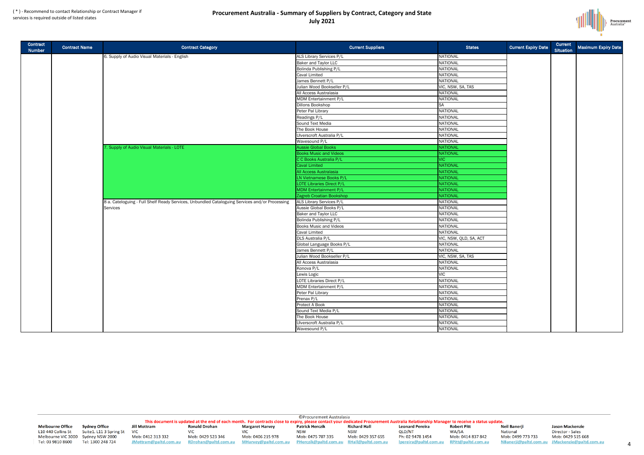### **Procurement Australia - Summary of Suppliers by Contract, Category and State July 2021**

**Procurement**<br>Australia®



| <b>Current</b><br><b>Situation</b> | Maximum Expiry Date |
|------------------------------------|---------------------|
|                                    |                     |
|                                    |                     |
|                                    |                     |
|                                    |                     |
|                                    |                     |
|                                    |                     |
|                                    |                     |
|                                    |                     |
|                                    |                     |
|                                    |                     |
|                                    |                     |
|                                    |                     |
|                                    |                     |
|                                    |                     |
|                                    |                     |
|                                    |                     |
|                                    |                     |
|                                    |                     |
|                                    |                     |
|                                    |                     |
|                                    |                     |
|                                    |                     |
|                                    |                     |

| Contract<br>Number | Contract Name | <b>Contract Category</b>                                                                       | <b>Current Suppliers</b>         | <b>States</b>          | <b>Current Expiry Date</b> | <b>Current</b><br><b>Situation</b> | <b>Maximum Expiry</b> |
|--------------------|---------------|------------------------------------------------------------------------------------------------|----------------------------------|------------------------|----------------------------|------------------------------------|-----------------------|
|                    |               | 6. Supply of Audio Visual Materials - English                                                  | <b>ALS Library Services P/L</b>  | NATIONAL               |                            |                                    |                       |
|                    |               |                                                                                                | <b>Baker and Taylor LLC</b>      | <b>NATIONAL</b>        |                            |                                    |                       |
|                    |               |                                                                                                | <b>Bolinda Publishing P/L</b>    | NATIONAL               |                            |                                    |                       |
|                    |               |                                                                                                | <b>Caval Limited</b>             | NATIONAL               |                            |                                    |                       |
|                    |               |                                                                                                | James Bennett P/L                | NATIONAL               |                            |                                    |                       |
|                    |               |                                                                                                | Julian Wood Bookseller P/L       | VIC, NSW, SA, TAS      |                            |                                    |                       |
|                    |               |                                                                                                | All Access Australasia           | NATIONAL               |                            |                                    |                       |
|                    |               |                                                                                                | MDM Entertainment P/L            | NATIONAL               |                            |                                    |                       |
|                    |               |                                                                                                | <b>Dillons Bookshop</b>          | <b>SA</b>              |                            |                                    |                       |
|                    |               |                                                                                                | Peter Pal Library                | NATIONAL               |                            |                                    |                       |
|                    |               |                                                                                                | Readings P/L                     | NATIONAL               |                            |                                    |                       |
|                    |               |                                                                                                | Sound Text Media                 | NATIONAL               |                            |                                    |                       |
|                    |               |                                                                                                | The Book House                   | NATIONAL               |                            |                                    |                       |
|                    |               |                                                                                                | Ulverscroft Australia P/L        | <b>NATIONAL</b>        |                            |                                    |                       |
|                    |               |                                                                                                | Wavesound P/L                    | NATIONAL               |                            |                                    |                       |
|                    |               | 7. Supply of Audio Visual Materials - LOTE                                                     | <b>Aussie Global Books</b>       | NATIONAL               |                            |                                    |                       |
|                    |               |                                                                                                | <b>Books Music and Videos</b>    | NATIONAL               |                            |                                    |                       |
|                    |               |                                                                                                | C C Books Australia P/L          | <b>VIC</b>             |                            |                                    |                       |
|                    |               |                                                                                                | <b>Caval Limited</b>             | NATIONAL               |                            |                                    |                       |
|                    |               |                                                                                                | All Access Australasia           | NATIONAL               |                            |                                    |                       |
|                    |               |                                                                                                | <b>LN Vietnamese Books P/L</b>   | NATIONAL               |                            |                                    |                       |
|                    |               |                                                                                                | <b>LOTE Libraries Direct P/L</b> | NATIONAL               |                            |                                    |                       |
|                    |               |                                                                                                | <b>MDM Entertainment P/L</b>     | NATIONAL               |                            |                                    |                       |
|                    |               |                                                                                                | Zagreb Croatian Bookshop         | NATIONAL               |                            |                                    |                       |
|                    |               | 8 a. Cateloguing - Full Shelf Ready Services, Unbundled Cataloguing Services and/or Processing | ALS Library Services P/L         | NATIONAL               |                            |                                    |                       |
|                    |               | Services                                                                                       | Aussie Global Books P/L          | NATIONAL               |                            |                                    |                       |
|                    |               |                                                                                                | <b>Baker and Taylor LLC</b>      | NATIONAL               |                            |                                    |                       |
|                    |               |                                                                                                | <b>Bolinda Publishing P/L</b>    | <b>NATIONAL</b>        |                            |                                    |                       |
|                    |               |                                                                                                | <b>Books Music and Videos</b>    | <b>NATIONAL</b>        |                            |                                    |                       |
|                    |               |                                                                                                | <b>Caval Limited</b>             | NATIONAL               |                            |                                    |                       |
|                    |               |                                                                                                | <b>DLS Australia P/L</b>         | VIC, NSW, QLD, SA, ACT |                            |                                    |                       |
|                    |               |                                                                                                | Global Language Books P/L        | NATIONAL               |                            |                                    |                       |
|                    |               |                                                                                                | James Bennett P/L                | NATIONAL               |                            |                                    |                       |
|                    |               |                                                                                                | Julian Wood Bookseller P/L       | VIC, NSW, SA, TAS      |                            |                                    |                       |
|                    |               |                                                                                                | All Access Australasia           | NATIONAL               |                            |                                    |                       |
|                    |               |                                                                                                | Konova P/L                       | NATIONAL               |                            |                                    |                       |
|                    |               |                                                                                                | Lewis Logic                      | <b>VIC</b>             |                            |                                    |                       |
|                    |               |                                                                                                | <b>LOTE Libraries Direct P/L</b> | NATIONAL               |                            |                                    |                       |
|                    |               |                                                                                                | MDM Entertainment P/L            | <b>NATIONAL</b>        |                            |                                    |                       |
|                    |               |                                                                                                | Peter Pal Library                | NATIONAL               |                            |                                    |                       |
|                    |               |                                                                                                | Prenax P/L                       | NATIONAL               |                            |                                    |                       |
|                    |               |                                                                                                | <b>Protect A Book</b>            | NATIONAL               |                            |                                    |                       |
|                    |               |                                                                                                | Sound Text Media P/L             | NATIONAL               |                            |                                    |                       |
|                    |               |                                                                                                | The Book House                   | <b>NATIONAL</b>        |                            |                                    |                       |
|                    |               |                                                                                                | Ulverscroft Australia P/L        | NATIONAL               |                            |                                    |                       |
|                    |               |                                                                                                | Wavesound P/L                    | <b>NATIONAL</b>        |                            |                                    |                       |

**Melbourne Office** L10 440 Collins St Melbourne VIC 3000 Sydney NSW 2000 Tel: 03 9810 8600

**Sydney Office** Suite1. L11 3 Spring St VIC Tel: 1300 248 724

**Jill Mottram Ronald Drohan Margaret Harvey VIC VIC** Mob: 0412 313 332 Mob: 0429 523 346 Mob: 0406 215 978

RDrohan@paltd.com.au

JMottram@paltd.com.au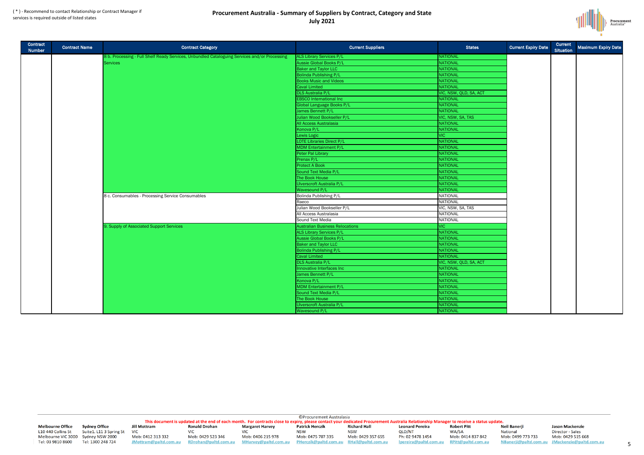### **Procurement Australia - Summary of Suppliers by Contract, Category and State July 2021**

**Procurement**<br>Australia<sup>®</sup>



| Maximum Expiry Date |
|---------------------|
|                     |
|                     |
|                     |
|                     |
|                     |
|                     |
|                     |
|                     |
|                     |
|                     |
|                     |
|                     |
|                     |
|                     |
|                     |
|                     |
|                     |
|                     |
|                     |

| Contract<br>Number | <b>Contract Name</b> | <b>Contract Category</b>                                                                      | <b>Current Suppliers</b>               | <b>States</b>          | <b>Current Expiry Date</b> | <b>Current</b><br><b>Situation</b> | <b>Maximum Expiry</b> |
|--------------------|----------------------|-----------------------------------------------------------------------------------------------|----------------------------------------|------------------------|----------------------------|------------------------------------|-----------------------|
|                    |                      | 8 b. Processing - Full Shelf Ready Services, Unbundled Cataloguing Services and/or Processing | ALS Library Services P/L               | NATIONAL               |                            |                                    |                       |
|                    |                      | <b>Services</b>                                                                               | <b>Aussie Global Books P/L</b>         | NATIONAL               |                            |                                    |                       |
|                    |                      |                                                                                               | <b>Baker and Taylor LLC</b>            | NATIONAL               |                            |                                    |                       |
|                    |                      |                                                                                               | <b>Bolinda Publishing P/L</b>          | NATIONAL               |                            |                                    |                       |
|                    |                      |                                                                                               | <b>Books Music and Videos</b>          | NATIONAL               |                            |                                    |                       |
|                    |                      |                                                                                               | Caval Limited                          | NATIONAL               |                            |                                    |                       |
|                    |                      |                                                                                               | <b>DLS Australia P/L</b>               | VIC, NSW, QLD, SA, ACT |                            |                                    |                       |
|                    |                      |                                                                                               | <b>EBSCO</b> International Inc         | NATIONAL               |                            |                                    |                       |
|                    |                      |                                                                                               | Global Language Books P/L              | NATIONAL               |                            |                                    |                       |
|                    |                      |                                                                                               | James Bennett P/L                      | NATIONAL               |                            |                                    |                       |
|                    |                      |                                                                                               | Julian Wood Bookseller P/L             | VIC, NSW, SA, TAS      |                            |                                    |                       |
|                    |                      |                                                                                               | <b>All Access Australasia</b>          | NATIONAL               |                            |                                    |                       |
|                    |                      |                                                                                               | Konova P/L                             | NATIONAL               |                            |                                    |                       |
|                    |                      |                                                                                               | Lewis Logic                            | <b>VIC</b>             |                            |                                    |                       |
|                    |                      |                                                                                               | <b>LOTE Libraries Direct P/L</b>       | NATIONAL               |                            |                                    |                       |
|                    |                      |                                                                                               | MDM Entertainment P/L                  | NATIONAL               |                            |                                    |                       |
|                    |                      |                                                                                               | Peter Pal Library                      | NATIONAL               |                            |                                    |                       |
|                    |                      |                                                                                               | Prenax P/L                             | NATIONAL               |                            |                                    |                       |
|                    |                      |                                                                                               | <b>Protect A Book</b>                  | NATIONAL               |                            |                                    |                       |
|                    |                      |                                                                                               | Sound Text Media P/L                   | NATIONAL               |                            |                                    |                       |
|                    |                      |                                                                                               | The Book House                         | NATIONAL               |                            |                                    |                       |
|                    |                      |                                                                                               | Ulverscroft Australia P/L              | <b>NATIONAL</b>        |                            |                                    |                       |
|                    |                      |                                                                                               | <b>Wavesound P/L</b>                   | NATIONAL               |                            |                                    |                       |
|                    |                      | 8 c. Consumables - Processing Service Consumables                                             | Bolinda Publishing P/L                 | <b>NATIONAL</b>        |                            |                                    |                       |
|                    |                      |                                                                                               | Raeco                                  | <b>NATIONAL</b>        |                            |                                    |                       |
|                    |                      |                                                                                               | Julian Wood Bookseller P/L             | VIC, NSW, SA, TAS      |                            |                                    |                       |
|                    |                      |                                                                                               | All Access Australasia                 | <b>NATIONAL</b>        |                            |                                    |                       |
|                    |                      |                                                                                               | Sound Text Media                       | <b>NATIONAL</b>        |                            |                                    |                       |
|                    |                      | 9. Supply of Associated Support Services                                                      | <b>Australian Business Relocations</b> | <b>VIC</b>             |                            |                                    |                       |
|                    |                      |                                                                                               | ALS Library Services P/L               | NATIONAL               |                            |                                    |                       |
|                    |                      |                                                                                               | Aussie Global Books P/L                | NATIONAL               |                            |                                    |                       |
|                    |                      |                                                                                               | <b>Baker and Taylor LLC</b>            | NATIONAL               |                            |                                    |                       |
|                    |                      |                                                                                               | <b>Bolinda Publishing P/L</b>          | NATIONAL               |                            |                                    |                       |
|                    |                      |                                                                                               | Caval Limited                          | NATIONAL               |                            |                                    |                       |
|                    |                      |                                                                                               | <b>DLS Australia P/L</b>               | VIC, NSW, QLD, SA, ACT |                            |                                    |                       |
|                    |                      |                                                                                               | Innovative Interfaces Inc              | NATIONAL               |                            |                                    |                       |
|                    |                      |                                                                                               | James Bennett P/L                      | NATIONAL               |                            |                                    |                       |
|                    |                      |                                                                                               | Konova P/L                             | NATIONAL               |                            |                                    |                       |
|                    |                      |                                                                                               | MDM Entertainment P/L                  | NATIONAL               |                            |                                    |                       |
|                    |                      |                                                                                               | Sound Text Media P/L                   | NATIONAL               |                            |                                    |                       |
|                    |                      |                                                                                               | The Book House                         | NATIONAL               |                            |                                    |                       |
|                    |                      |                                                                                               | Ulverscroft Australia P/L              | NATIONAL               |                            |                                    |                       |
|                    |                      |                                                                                               | Wavesound P/L                          | <b>NATIONAL</b>        |                            |                                    |                       |

**Melbourne Office** L10 440 Collins St Melbourne VIC 3000 Sydney NSW 2000 Tel: 03 9810 8600

**Sydney Office** Suite1. L11 3 Spring St VIC Tel: 1300 248 724

**Jill Mottram Ronald Drohan** 

Mob: 0412 313 332 JMottram@paltd.com.au

**VIC** Mob: 0429 523 346 RDrohan@paltd.com.au

**Margaret Harvey VIC** Mob: 0406 215 978 MHarvey@paltd.com.au

5